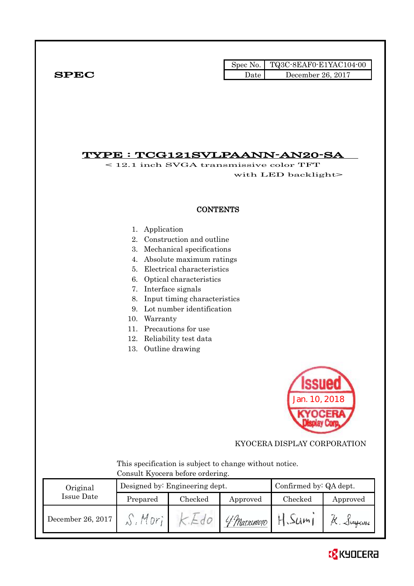|              |      | Spec No. TQ3C-8EAF0-E1YAC104-00 |
|--------------|------|---------------------------------|
| ${\bf SPEC}$ | Date | December 26, 2017               |

# TYPE : TCG121SVLPAANN-AN20-SA

< 12.1 inch SVGA transmissive color TFT with LED backlight>

## **CONTENTS**

- 1. Application
- 2. Construction and outline
- 3. Mechanical specifications
- 4. Absolute maximum ratings
- 5. Electrical characteristics
- 6. Optical characteristics
- 7. Interface signals
- 8. Input timing characteristics
- 9. Lot number identification
- 10. Warranty
- 11. Precautions for use
- 12. Reliability test data
- 13. Outline drawing



KYOCERA DISPLAY CORPORATION

 This specification is subject to change without notice. Consult Kyocera before ordering.

| Original          |          | Designed by: Engineering dept. | Confirmed by: QA dept. |                           |                                   |
|-------------------|----------|--------------------------------|------------------------|---------------------------|-----------------------------------|
| Issue Date        | Prepared | Checked                        | Approved               | Checked                   | Approved                          |
| December 26, 2017 |          |                                | 4 Matsimoto            | $\Delta l$ <i>A</i> $\nu$ | $\sim$ $\omega_{\phi \omega \nu}$ |

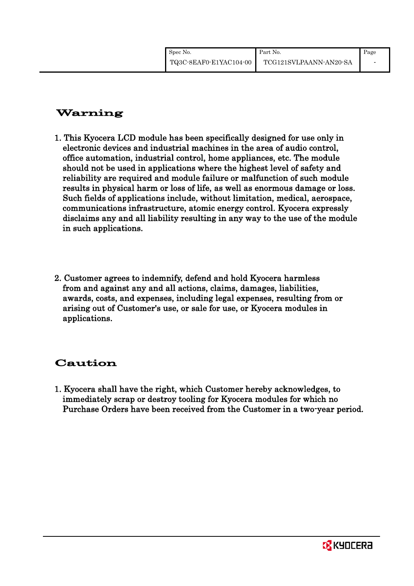| Spec No.               | Part No.               | Page |
|------------------------|------------------------|------|
| TQ3C-8EAF0-E1YAC104-00 | TCG121SVLPAANN-AN20-SA |      |

# Warning

- 1. This Kyocera LCD module has been specifically designed for use only in electronic devices and industrial machines in the area of audio control, office automation, industrial control, home appliances, etc. The module should not be used in applications where the highest level of safety and reliability are required and module failure or malfunction of such module results in physical harm or loss of life, as well as enormous damage or loss. Such fields of applications include, without limitation, medical, aerospace, communications infrastructure, atomic energy control. Kyocera expressly disclaims any and all liability resulting in any way to the use of the module in such applications.
- 2. Customer agrees to indemnify, defend and hold Kyocera harmless from and against any and all actions, claims, damages, liabilities, awards, costs, and expenses, including legal expenses, resulting from or arising out of Customer's use, or sale for use, or Kyocera modules in applications.

# Caution

1. Kyocera shall have the right, which Customer hereby acknowledges, to immediately scrap or destroy tooling for Kyocera modules for which no Purchase Orders have been received from the Customer in a two-year period.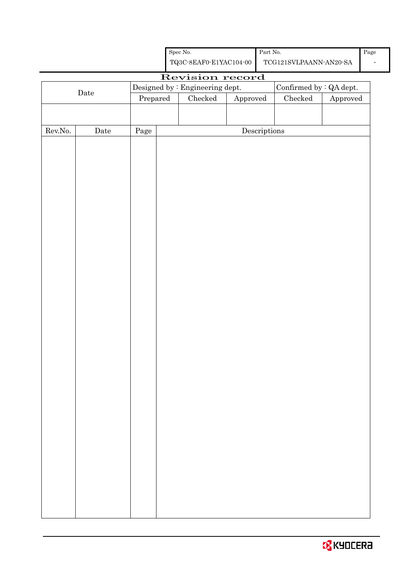| <b>O</b> KYOCERA |
|------------------|
|------------------|

|                  |                      | Revision record |  |                                 |                                      |                         |          |
|------------------|----------------------|-----------------|--|---------------------------------|--------------------------------------|-------------------------|----------|
|                  |                      |                 |  |                                 |                                      |                         |          |
|                  | $\rm{\textbf{Date}}$ |                 |  | Designed by : Engineering dept. |                                      | Confirmed by : QA dept. |          |
|                  |                      | Prepared        |  | $\rm Checked$                   | ${\Large\bf Approved}$               | ${\it Checked}$         | Approved |
|                  |                      |                 |  |                                 |                                      |                         |          |
|                  |                      |                 |  |                                 |                                      |                         |          |
| ${\rm Rev. No.}$ | $\rm{Date}$          | Page            |  |                                 | $\label{eq:2} \textbf{Descriptions}$ |                         |          |
|                  |                      |                 |  |                                 |                                      |                         |          |
|                  |                      |                 |  |                                 |                                      |                         |          |
|                  |                      |                 |  |                                 |                                      |                         |          |
|                  |                      |                 |  |                                 |                                      |                         |          |
|                  |                      |                 |  |                                 |                                      |                         |          |
|                  |                      |                 |  |                                 |                                      |                         |          |
|                  |                      |                 |  |                                 |                                      |                         |          |
|                  |                      |                 |  |                                 |                                      |                         |          |
|                  |                      |                 |  |                                 |                                      |                         |          |
|                  |                      |                 |  |                                 |                                      |                         |          |
|                  |                      |                 |  |                                 |                                      |                         |          |
|                  |                      |                 |  |                                 |                                      |                         |          |
|                  |                      |                 |  |                                 |                                      |                         |          |
|                  |                      |                 |  |                                 |                                      |                         |          |
|                  |                      |                 |  |                                 |                                      |                         |          |
|                  |                      |                 |  |                                 |                                      |                         |          |
|                  |                      |                 |  |                                 |                                      |                         |          |
|                  |                      |                 |  |                                 |                                      |                         |          |
|                  |                      |                 |  |                                 |                                      |                         |          |
|                  |                      |                 |  |                                 |                                      |                         |          |
|                  |                      |                 |  |                                 |                                      |                         |          |
|                  |                      |                 |  |                                 |                                      |                         |          |
|                  |                      |                 |  |                                 |                                      |                         |          |
|                  |                      |                 |  |                                 |                                      |                         |          |
|                  |                      |                 |  |                                 |                                      |                         |          |
|                  |                      |                 |  |                                 |                                      |                         |          |
|                  |                      |                 |  |                                 |                                      |                         |          |
|                  |                      |                 |  |                                 |                                      |                         |          |
|                  |                      |                 |  |                                 |                                      |                         |          |
|                  |                      |                 |  |                                 |                                      |                         |          |
|                  |                      |                 |  |                                 |                                      |                         |          |
|                  |                      |                 |  |                                 |                                      |                         |          |
|                  |                      |                 |  |                                 |                                      |                         |          |
|                  |                      |                 |  |                                 |                                      |                         |          |
|                  |                      |                 |  |                                 |                                      |                         |          |
|                  |                      |                 |  |                                 |                                      |                         |          |
|                  |                      |                 |  |                                 |                                      |                         |          |
|                  |                      |                 |  |                                 |                                      |                         |          |
|                  |                      |                 |  |                                 |                                      |                         |          |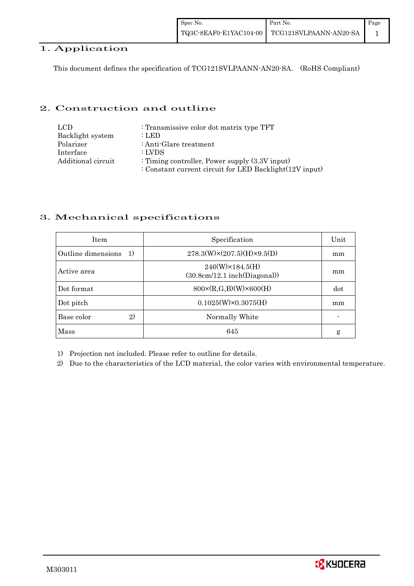## 1. Application

This document defines the specification of TCG121SVLPAANN-AN20-SA. (RoHS Compliant)

## 2. Construction and outline

| LCD.               | : Transmissive color dot matrix type TFT                |
|--------------------|---------------------------------------------------------|
| Backlight system   | : LED                                                   |
| Polarizer          | : Anti-Glare treatment                                  |
| Interface          | : LVDS                                                  |
| Additional circuit | : Timing controller, Power supply $(3.3V)$ input)       |
|                    | : Constant current circuit for LED Backlight(12V input) |

## 3. Mechanical specifications

| <b>Item</b>                        | Specification                                            | Unit |
|------------------------------------|----------------------------------------------------------|------|
| Outline dimensions<br><sup>1</sup> | $278.3(W)\times(207.5)(H)\times9.5(D)$                   | mm   |
| Active area                        | $246(W) \times 184.5(H)$<br>(30.8cm/12.1~inch(Diagonal)) | mm   |
| Dot format                         | $800 \times (R, G, B)(W) \times 600(H)$                  | dot  |
| Dot pitch                          | $0.1025(W)\times0.3075(H)$                               | mm   |
| 2)<br>Base color                   | Normally White                                           |      |
| Mass                               | 645                                                      | g    |

1) Projection not included. Please refer to outline for details.

2) Due to the characteristics of the LCD material, the color varies with environmental temperature.

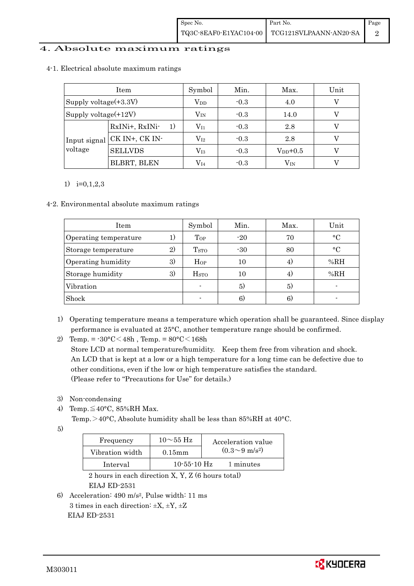## 4. Absolute maximum ratings

|                          | Item                        | Symbol       | Min.   | Max.         | Unit |
|--------------------------|-----------------------------|--------------|--------|--------------|------|
| Supply voltage $(+3.3V)$ |                             | $\rm V_{DD}$ | $-0.3$ | 4.0          |      |
| Supply voltage $(+12V)$  |                             | $\rm V_{IN}$ | $-0.3$ | 14.0         |      |
|                          | RxINi+, RxINi-<br>1)        | $\rm V_{I1}$ | $-0.3$ | 2.8          |      |
| voltage                  | Input signal CK IN+, CK IN- | $\rm V_{I2}$ | $-0.3$ | 2.8          |      |
|                          | <b>SELLVDS</b>              | $\rm V_{I3}$ | $-0.3$ | $V_{DD}+0.5$ |      |
|                          | BLBRT, BLEN                 | $\rm V_{I4}$ | $-0.3$ | $\rm V_{IN}$ |      |

#### 4-1. Electrical absolute maximum ratings

### 1) i=0,1,2,3

#### 4-2. Environmental absolute maximum ratings

| <b>Item</b>           |    | Symbol                  | Min.  | Max. | Unit       |
|-----------------------|----|-------------------------|-------|------|------------|
| Operating temperature |    | Top                     | $-20$ | 70   | $\circ$ C  |
| Storage temperature   | 2) | <b>T</b> <sub>STO</sub> | $-30$ | 80   | $^{\circ}$ |
| Operating humidity    | 3) | Hop                     | 10    | 4)   | %RH        |
| Storage humidity      | 3) | <b>H</b> <sub>sto</sub> | 10    | 4)   | %RH        |
| Vibration             |    |                         | 5)    | 5)   |            |
| Shock                 |    |                         | 6)    | 6)   |            |

1) Operating temperature means a temperature which operation shall be guaranteed. Since display performance is evaluated at 25°C, another temperature range should be confirmed.

- 3) Non-condensing
- 4) Temp. $\leq 40^{\circ}$ C, 85%RH Max.

Temp. > 40°C, Absolute humidity shall be less than 85%RH at 40°C.

5)

| Frequency       | $10\sim$ 55 Hz    | Acceleration value         |
|-----------------|-------------------|----------------------------|
| Vibration width | $0.15$ m m        | $(0.3{\sim}9~{\rm m/s^2})$ |
| Interval        | $10 - 55 - 10$ Hz | 1 minutes                  |

 2 hours in each direction X, Y, Z (6 hours total) EIAJ ED-2531

6) Acceleration: 490 m/s2, Pulse width: 11 ms 3 times in each direction: ±X, ±Y, ±Z EIAJ ED-2531

<sup>2)</sup> Temp. =  $-30^{\circ}$ C $<$ 48h, Temp. =  $80^{\circ}$ C $<$ 168h Store LCD at normal temperature/humidity. Keep them free from vibration and shock. An LCD that is kept at a low or a high temperature for a long time can be defective due to other conditions, even if the low or high temperature satisfies the standard. (Please refer to "Precautions for Use" for details.)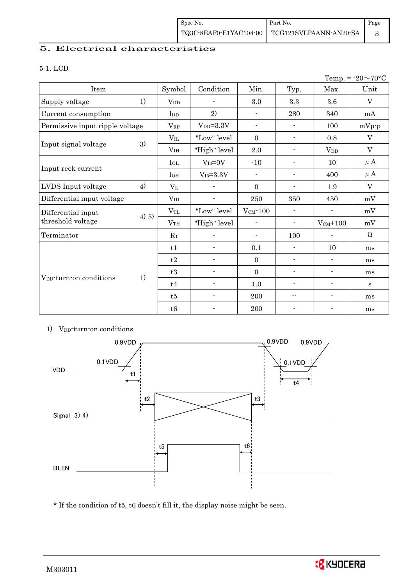## 5. Electrical characteristics

#### 5-1. LCD

| Temp. = $-20 \sim 70$ °C            |         |                        |                          |                          |                          |                          |             |
|-------------------------------------|---------|------------------------|--------------------------|--------------------------|--------------------------|--------------------------|-------------|
| Item                                |         | Symbol                 | Condition                | Min.                     | Typ.                     | Max.                     | Unit        |
| Supply voltage                      | 1)      | <b>V</b> <sub>DD</sub> |                          | 3.0                      | 3.3                      | 3.6                      | V           |
| Current consumption                 |         | I <sub>DD</sub>        | 2)                       | $\overline{\phantom{a}}$ | 280                      | 340                      | mA          |
| Permissive input ripple voltage     |         | $V_{RP}$               | $V_{DD} = 3.3V$          | $\overline{\phantom{a}}$ |                          | 100                      | $mVp-p$     |
|                                     |         | $V_{IL}$               | "Low" level              | $\overline{0}$           | $\blacksquare$           | 0.8                      | $\mathbf V$ |
| Input signal voltage                | 3)      | V <sub>IH</sub>        | "High" level             | 2.0                      | $\overline{\phantom{a}}$ | <b>V</b> <sub>DD</sub>   | V           |
|                                     |         | $I_{OL}$               | $V_{I3}=0V$              | $-10$                    | $\overline{\phantom{a}}$ | 10                       | $\mu$ A     |
| Input reek current                  |         | $I_{OH}$               | $V_{I3} = 3.3V$          | $\blacksquare$           | $\overline{\phantom{a}}$ | 400                      | $\mu$ A     |
| LVDS Input voltage                  | 4)      | $V_{L}$                |                          | $\Omega$                 | $\blacksquare$           | 1.9                      | V           |
| Differential input voltage          |         | $V_{ID}$               |                          | 250                      | 350                      | 450                      | mV          |
| Differential input                  |         | $V_{\rm TL}$           | "Low" level              | $V_{CM}$ -100            | $\overline{\phantom{a}}$ | $\blacksquare$           | mV          |
| threshold voltage                   | $4)$ 5) | V <sub>TH</sub>        | "High" level             | $\overline{\phantom{a}}$ | $\blacksquare$           | $V_{CM}$ +100            | mV          |
| Terminator                          |         |                        |                          | $\overline{\phantom{a}}$ | 100                      | $\overline{\phantom{a}}$ | $\Omega$    |
|                                     |         | t1                     |                          | 0.1                      | $\blacksquare$           | 10                       | ms          |
|                                     |         | t2                     | $\blacksquare$           | $\overline{0}$           | $\overline{\phantom{a}}$ | $\overline{\phantom{a}}$ | ms          |
| V <sub>DD</sub> -turn-on conditions |         | t3                     |                          | $\boldsymbol{0}$         | $\overline{\phantom{a}}$ | $\overline{\phantom{a}}$ | ms          |
|                                     | 1)      | t4                     | $\overline{\phantom{a}}$ | $1.0\,$                  | $\overline{\phantom{a}}$ | $\overline{\phantom{a}}$ | S           |
|                                     |         | t5                     |                          | 200                      | --                       | $\overline{\phantom{a}}$ | ms          |
|                                     |         | t6                     |                          | 200                      |                          | $\overline{\phantom{a}}$ | ms          |

### 1) V<sub>DD</sub>-turn-on conditions



\* If the condition of t5, t6 doesn't fill it, the display noise might be seen.

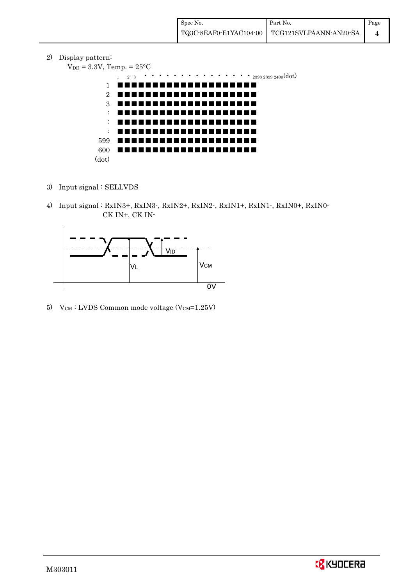2) Display pattern:

```
V_{DD} = 3.3V, Temp. = 25^{\circ}C
```


- 3) Input signal : SELLVDS
- 4) Input signal : RxIN3+, RxIN3-, RxIN2+, RxIN2-, RxIN1+, RxIN1-, RxIN0+, RxIN0- CK IN+, CK IN-



5) V $_{CM}$ : LVDS Common mode voltage (V $_{CM}$ =1.25V)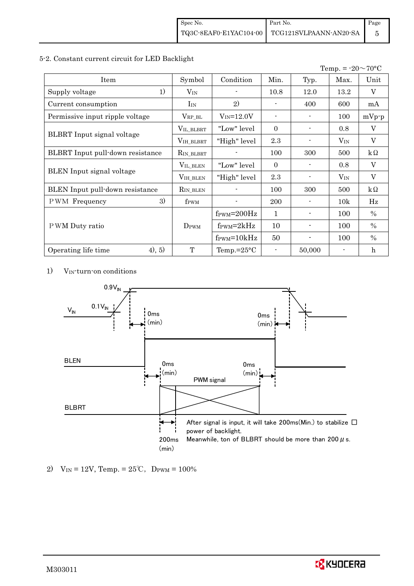### 5-2. Constant current circuit for LED Backlight

|                                   |                       |                                  |                |        | Temp. = $-20 \sim 70$ °C |                         |
|-----------------------------------|-----------------------|----------------------------------|----------------|--------|--------------------------|-------------------------|
| Item                              | Symbol                | Condition                        | Min.           | Typ.   | Max.                     | Unit                    |
| 1)<br>Supply voltage              | $V_{\rm IN}$          |                                  | 10.8           | 12.0   | 13.2                     | V                       |
| Current consumption               | $I_{IN}$              | 2)                               |                | 400    | 600                      | mA                      |
| Permissive input ripple voltage   | $V_{RP\_BL}$          | $V_{IN} = 12.0V$                 | $\blacksquare$ |        | 100                      | $mVp-p$                 |
|                                   | VIL_BLBRT             | "Low" level                      | $\Omega$       |        | 0.8                      | V                       |
| <b>BLBRT</b> Input signal voltage | VIH_BLBRT             | "High" level                     | 2.3            |        | $V_{IN}$                 | $\mathbf{V}$            |
| BLBRT Input pull-down resistance  | R <sub>IN_BLBRT</sub> |                                  | 100            | 300    | 500                      | $k\Omega$               |
| <b>BLEN</b> Input signal voltage  | VIL_BLEN              | "Low" level"                     | $\Omega$       |        | 0.8                      | $\overline{\mathbf{V}}$ |
|                                   | VIH_BLEN              | "High" level                     | 2.3            |        | $V_{IN}$                 | V                       |
| BLEN Input pull-down resistance   | R <sub>IN_BLEN</sub>  |                                  | 100            | 300    | 500                      | $k\Omega$               |
| 3)<br><b>PWM</b> Frequency        | f <sub>PWM</sub>      |                                  | 200            |        | 10k                      | Hz                      |
|                                   |                       | $f_{\text{PWM}} = 200 \text{Hz}$ | 1              |        | 100                      | $\%$                    |
| P WM Duty ratio                   | $D_{\rm PWM}$         | $f_{\rm PWM} = 2kHz$             | 10             |        | 100                      | $\frac{0}{0}$           |
|                                   |                       | $f_{\rm PWM} = 10kHz$            | 50             |        | 100                      | $\%$                    |
| (4), 5)<br>Operating life time    | T                     | Temp.= $25^{\circ}$ C            |                | 50,000 |                          | $\mathbf h$             |

1) VIN-turn-on conditions



2) V<sub>IN</sub> = 12V, Temp. =  $25^{\circ}$ C, D<sub>PWM</sub> = 100%

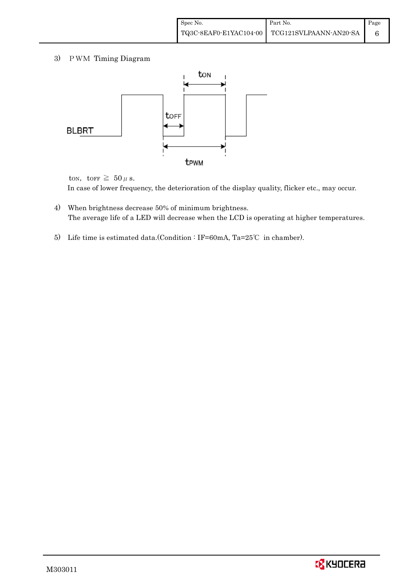3) PWM Timing Diagram



ton, torr  $\geq 50 \mu$  s.

In case of lower frequency, the deterioration of the display quality, flicker etc., may occur.

- 4) When brightness decrease 50% of minimum brightness. The average life of a LED will decrease when the LCD is operating at higher temperatures.
- 5) Life time is estimated data.(Condition : IF=60mA, Ta=25℃ in chamber).

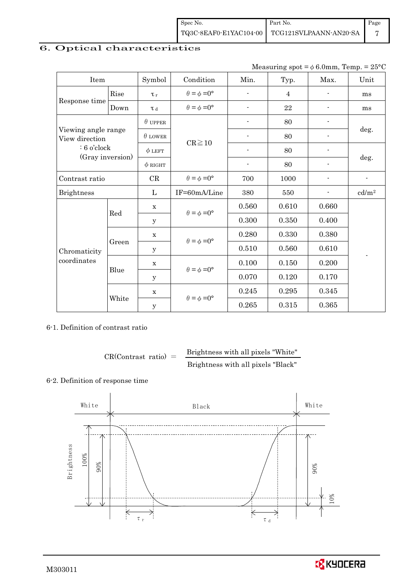| Spec No. | Part No.                                      | Page |
|----------|-----------------------------------------------|------|
|          | TQ3C-8EAF0-E1YAC104-00 TCG121SVLPAANN-AN20-SA |      |

# 6. Optical characteristics

| Measuring spot = $\phi$ 6.0mm, Temp. = 25°C |
|---------------------------------------------|
|                                             |

| Item                                  |          | Symbol         | Condition                   | Min.                     | Typ.           | Max.                     | Unit              |
|---------------------------------------|----------|----------------|-----------------------------|--------------------------|----------------|--------------------------|-------------------|
|                                       | Rise     | $\tau_r$       | $\theta = \phi = 0^{\circ}$ |                          | $\overline{4}$ |                          | ms                |
| Response time                         | Down     | $\tau$ d       | $\theta = \phi = 0^{\circ}$ | $\overline{\phantom{0}}$ | 22             |                          | ms                |
| Viewing angle range<br>View direction |          | $\theta$ upper |                             |                          | 80             |                          |                   |
|                                       |          | $\theta$ LOWER |                             |                          | 80             |                          | deg.              |
| $: 6$ o'clock                         |          | $\phi$ LEFT    | $CR \ge 10$                 | $\overline{\phantom{a}}$ | 80             | $\overline{\phantom{a}}$ |                   |
| (Gray inversion)                      |          | $\phi$ RIGHT   |                             | $\overline{\phantom{a}}$ | 80             |                          | deg.              |
| Contrast ratio                        |          | CR             | $\theta = \phi = 0^{\circ}$ | 700                      | 1000           |                          |                   |
| <b>Brightness</b>                     |          | L              | IF=60mA/Line                | 380                      | 550            |                          | cd/m <sup>2</sup> |
|                                       |          | X              | $\theta = \phi = 0^{\circ}$ | 0.560                    | 0.610          | 0.660                    |                   |
|                                       | Red<br>y |                |                             | 0.300                    | 0.350          | 0.400                    |                   |
|                                       |          | $\mathbf X$    | $\theta = \phi = 0^{\circ}$ | 0.280                    | 0.330          | 0.380                    |                   |
| Chromaticity                          | Green    | y              |                             | 0.510                    | 0.560          | 0.610                    |                   |
| coordinates                           |          | $\mathbf X$    | $\theta = \phi = 0^{\circ}$ | 0.100                    | 0.150          | 0.200                    |                   |
|                                       | Blue     | у              |                             | 0.070                    | 0.120          | 0.170                    |                   |
|                                       |          | X              | $\theta = \phi = 0^{\circ}$ | 0.245                    | 0.295          | 0.345                    |                   |
|                                       | White    | $\mathbf y$    |                             | 0.265                    | 0.315          | 0.365                    |                   |

6-1. Definition of contrast ratio

 $CR(Contrast ratio) =$  Brightness with all pixels "White" Brightness with all pixels "Black"

# 6-2. Definition of response time



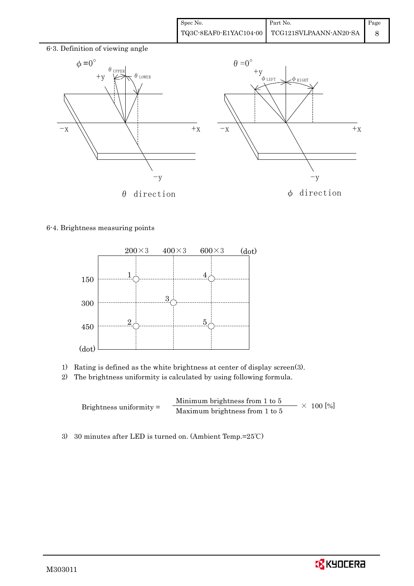

### 6-4. Brightness measuring points



- 1) Rating is defined as the white brightness at center of display screen(3).
- 2) The brightness uniformity is calculated by using following formula.

Brightness uniformity = Minimum brightness from 1 to 5  $\times$  100 [%]<br>Maximum brightness from 1 to 5

3) 30 minutes after LED is turned on. (Ambient Temp.=25℃)

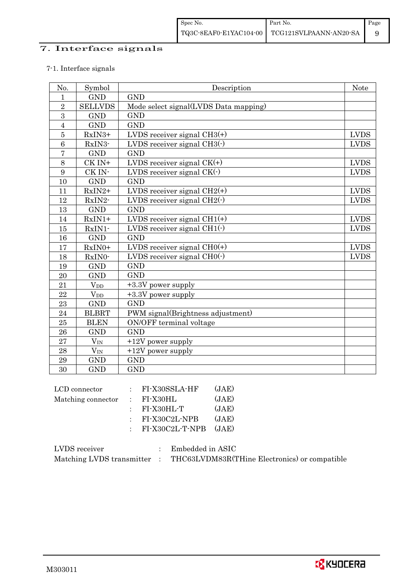# 7. Interface signals

# 7-1. Interface signals

| No.            | Symbol                 | Description                           | <b>Note</b> |
|----------------|------------------------|---------------------------------------|-------------|
| $\mathbf{1}$   | <b>GND</b>             | <b>GND</b>                            |             |
| $\overline{2}$ | <b>SELLVDS</b>         | Mode select signal(LVDS Data mapping) |             |
| 3              | <b>GND</b>             | <b>GND</b>                            |             |
| $\overline{4}$ | <b>GND</b>             | <b>GND</b>                            |             |
| $\overline{5}$ | RxIN3+                 | LVDS receiver signal $CH3(+)$         | <b>LVDS</b> |
| 6              | RxIN3-                 | LVDS receiver signal $CH3()$          | <b>LVDS</b> |
| $\overline{7}$ | <b>GND</b>             | <b>GND</b>                            |             |
| 8              | CK IN+                 | LVDS receiver signal $CK(+)$          | <b>LVDS</b> |
| 9              | CK IN-                 | LVDS receiver signal $CK(\cdot)$      | <b>LVDS</b> |
| 10             | <b>GND</b>             | <b>GND</b>                            |             |
| 11             | $RxIN2+$               | LVDS receiver signal $CH2(+)$         | <b>LVDS</b> |
| 12             | RxIN2-                 | LVDS receiver signal $CH2(\cdot)$     | <b>LVDS</b> |
| 13             | <b>GND</b>             | <b>GND</b>                            |             |
| 14             | $RxIN1+$               | LVDS receiver signal $CH1(+)$         | <b>LVDS</b> |
| 15             | RxIN1-                 | LVDS receiver signal $CH1(\cdot)$     | <b>LVDS</b> |
| 16             | <b>GND</b>             | <b>GND</b>                            |             |
| 17             | RxIN0+                 | LVDS receiver signal $CHO(+)$         | <b>LVDS</b> |
| 18             | RxIN0-                 | LVDS receiver signal $CHO(·)$         | <b>LVDS</b> |
| 19             | <b>GND</b>             | <b>GND</b>                            |             |
| 20             | <b>GND</b>             | <b>GND</b>                            |             |
| 21             | <b>V</b> <sub>DD</sub> | +3.3V power supply                    |             |
| 22             | $V_{DD}$               | +3.3V power supply                    |             |
| 23             | <b>GND</b>             | <b>GND</b>                            |             |
| 24             | <b>BLBRT</b>           | PWM signal(Brightness adjustment)     |             |
| 25             | <b>BLEN</b>            | ON/OFF terminal voltage               |             |
| 26             | <b>GND</b>             | <b>GND</b>                            |             |
| 27             | $V_{\rm IN}$           | $+12V$ power supply                   |             |
| 28             | $V_{\rm IN}$           | $+12V$ power supply                   |             |
| 29             | <b>GND</b>             | <b>GND</b>                            |             |
| 30             | <b>GND</b>             | <b>GND</b>                            |             |

| LCD connector      | $:$ FI-X30SSLA-HF     | (JAE) |
|--------------------|-----------------------|-------|
| Matching connector | $\therefore$ FI-X30HL | (JAE) |
|                    | $:$ FI-X30HL-T        | (JAE) |
|                    | $:$ FI-X30C2L-NPB     | (JAE) |
|                    | $:$ FI-X30C2L-T-NPB   | (JAE) |
|                    |                       |       |

| LVDS receiver             | Embedded in ASIC                              |
|---------------------------|-----------------------------------------------|
| Matching LVDS transmitter | THC63LVDM83R(THine Electronics) or compatible |

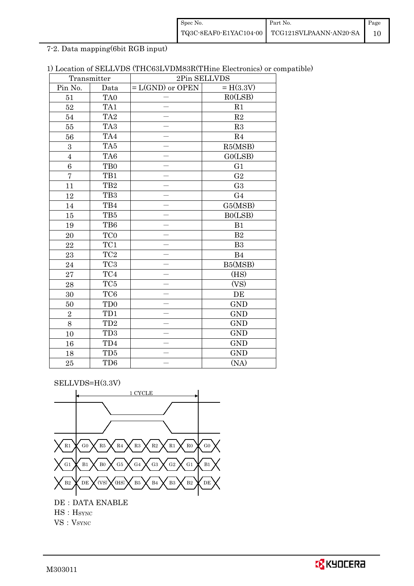| Spec No. | Part No.                                      | Page |
|----------|-----------------------------------------------|------|
|          | TQ3C-8EAF0-E1YAC104-00 TCG121SVLPAANN-AN20-SA |      |

7-2. Data mapping(6bit RGB input)

| 1) Location of SELLVDS (THC63LVDM83R(THine Electronics) or compatible) |  |
|------------------------------------------------------------------------|--|
|------------------------------------------------------------------------|--|

| Transmitter     |                 | 2Pin SELLVDS       |                |
|-----------------|-----------------|--------------------|----------------|
| Pin No.         | Data            | $= L(GND)$ or OPEN | $= H(3.3V)$    |
| 51              | TA <sub>0</sub> |                    | RO(LSB)        |
| 52              | TA1             |                    | R1             |
| 54              | TA <sub>2</sub> |                    | $\mathbf{R}2$  |
| 55              | TA <sub>3</sub> |                    | R3             |
| 56              | TA4             |                    | $\mathbf{R}4$  |
| 3               | TA5             |                    | R5(MSB)        |
| $\overline{4}$  | TA <sub>6</sub> |                    | GO(LSB)        |
| $6\phantom{.}6$ | TB <sub>0</sub> |                    | G1             |
| $\overline{7}$  | TB1             |                    | $\sqrt{G2}$    |
| 11              | TB <sub>2</sub> |                    | G <sub>3</sub> |
| 12              | TB <sub>3</sub> |                    | G <sub>4</sub> |
| $14\,$          | TB4             |                    | G5(MSB)        |
| 15              | $\rm TB5$       |                    | B0(LSB)        |
| 19              | TB6             |                    | B1             |
| 20              | TC <sub>0</sub> |                    | $\mathbf{B}2$  |
| 22              | TC1             |                    | B <sub>3</sub> |
| 23              | $\rm TC2$       |                    | B4             |
| 24              | TC <sub>3</sub> |                    | B5(MSB)        |
| 27              | $\rm TC4$       |                    | (HS)           |
| 28              | TC5             |                    | (VS)           |
| 30              | TC <sub>6</sub> |                    | DE             |
| 50              | TD <sub>0</sub> |                    | <b>GND</b>     |
| $\overline{2}$  | TD1             |                    | <b>GND</b>     |
| 8               | TD <sub>2</sub> |                    | <b>GND</b>     |
| 10              | TD <sub>3</sub> |                    | <b>GND</b>     |
| 16              | TD4             |                    | <b>GND</b>     |
| 18              | TD <sub>5</sub> |                    | <b>GND</b>     |
| 25              | TD <sub>6</sub> |                    | (NA)           |

SELLVDS=H(3.3V)



VS: V<sub>SYNC</sub>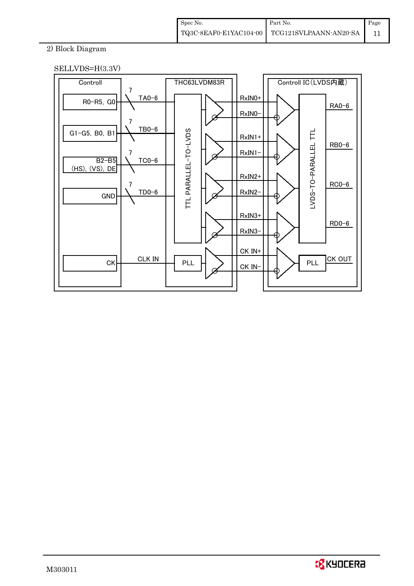| Spec No. | Part No.                                      | Page |
|----------|-----------------------------------------------|------|
|          | TQ3C-8EAF0-E1YAC104-00 TCG121SVLPAANN-AN20-SA |      |

# 2) Block Diagram





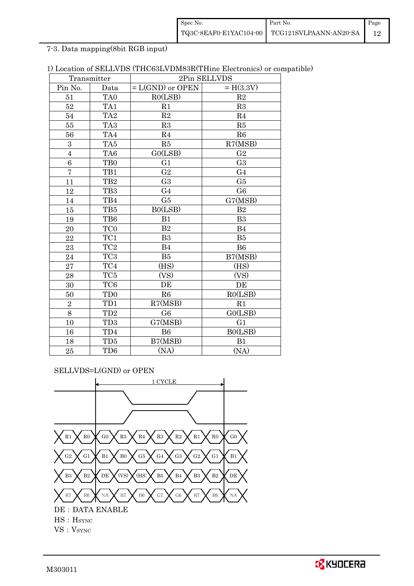| Spec No. | Part No.                                      | Page |
|----------|-----------------------------------------------|------|
|          | TQ3C-8EAF0-E1YAC104-00 TCG121SVLPAANN-AN20-SA |      |

7-3. Data mapping(8bit RGB input)

| 1) Location of SELLVDS (THC63LVDM83R(THine Electronics) or compatible) |  |  |
|------------------------------------------------------------------------|--|--|
|------------------------------------------------------------------------|--|--|

|                | Transmitter     | 2Pin SELLVDS       |                |  |
|----------------|-----------------|--------------------|----------------|--|
| Pin No.        | Data            | $= L(GND)$ or OPEN | $= H(3.3V)$    |  |
| 51             | TA0             | RO(LSB)            | R2             |  |
| 52             | TA1             | R1                 | R3             |  |
| 54             | TA <sub>2</sub> | R2                 | R <sub>4</sub> |  |
| $55\,$         | TA <sub>3</sub> | R3                 | R5             |  |
| 56             | TA4             | R <sub>4</sub>     | R6             |  |
| $\overline{3}$ | TA <sub>5</sub> | R5                 | R7(MSB)        |  |
| $\overline{4}$ | TA6             | G0(LSB)            | G <sub>2</sub> |  |
| 6              | TB <sub>0</sub> | G1                 | G <sub>3</sub> |  |
| $\overline{7}$ | TB1             | G <sub>2</sub>     | G <sub>4</sub> |  |
| 11             | TB <sub>2</sub> | G <sub>3</sub>     | G5             |  |
| 12             | TB <sub>3</sub> | G <sub>4</sub>     | G <sub>6</sub> |  |
| 14             | TB4             | G5                 | G7(MSB)        |  |
| 15             | TB5             | B0(LSB)            | B <sub>2</sub> |  |
| 19             | TB6             | B1                 | B <sub>3</sub> |  |
| 20             | TC <sub>0</sub> | B <sub>2</sub>     | <b>B4</b>      |  |
| 22             | TC1             | B <sub>3</sub>     | B5             |  |
| 23             | TC <sub>2</sub> | B4                 | <b>B6</b>      |  |
| 24             | TC <sub>3</sub> | B5                 | B7(MSB)        |  |
| 27             | TC4             | (HS)               | (HS)           |  |
| 28             | $\rm TC5$       | (VS)               | (VS)           |  |
| 30             | TC <sub>6</sub> | DE                 | DE             |  |
| 50             | TD <sub>0</sub> | R6                 | RO(LSB)        |  |
| $\overline{2}$ | TD1             | R7(MSB)            | R1             |  |
| 8              | TD <sub>2</sub> | G <sub>6</sub>     | G0(LSB)        |  |
| 10             | TD <sub>3</sub> | G7(MSB)            | G <sub>1</sub> |  |
| 16             | TD4             | <b>B6</b>          | B0(LSB)        |  |
| 18             | TD <sub>5</sub> | B7(MSB)            | B1             |  |
| 25             | TD <sub>6</sub> | (NA)               | (NA)           |  |

SELLVDS=L(GND) or OPEN

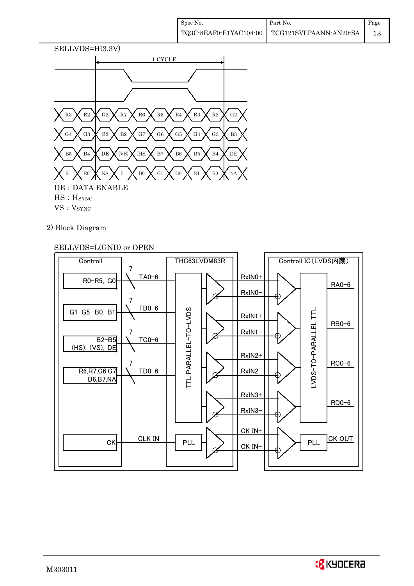

- VS: VSYNC
- 2) Block Diagram

# SELLVDS=L(GND) or OPEN



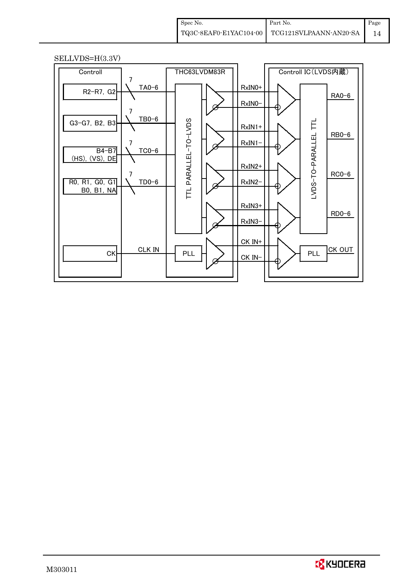| Spec No. | Part No.                                      | Page |
|----------|-----------------------------------------------|------|
|          | TQ3C-8EAF0-E1YAC104-00 TCG121SVLPAANN-AN20-SA | 14   |

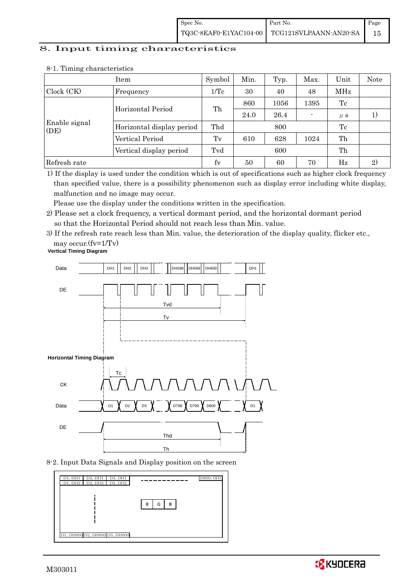| Spec No. | Part No.                                                                                                                           | Page |
|----------|------------------------------------------------------------------------------------------------------------------------------------|------|
|          | $\left. {\rm TQ3C\text{-}SEAFO\text{-}E1YAC104\text{-}00} \ \right  \ \left. {\rm TCG121SVLPAANN\text{-}AN20\text{-}SA} \ \right $ |      |

### 8. Input timing characteristics

|                       | Item                            | Symbol           | Min. | Typ.    | Max. | Unit | Note |
|-----------------------|---------------------------------|------------------|------|---------|------|------|------|
| Clock (CK)            | Frequency                       | $1/\mathrm{Tc}$  | 30   | 40      | 48   | MHz  |      |
|                       |                                 |                  | 860  | 1056    | 1395 | Tc   |      |
|                       | Th<br>Horizontal Period<br>24.0 | 26.4             |      | $\mu$ s | 1)   |      |      |
| Enable signal<br>(DE) | Horizontal display period       | Thd<br>Tc<br>800 |      |         |      |      |      |
|                       | Vertical Period                 | Tv               | 610  | 628     | 1024 | Th   |      |
|                       | Vertical display period         | Tvd              | 600  |         |      | Th   |      |
| Refresh rate          |                                 | fy               | 50   | 60      | 70   | Hz   | 2)   |

#### 8-1. Timing characteristics

1) If the display is used under the condition which is out of specifications such as higher clock frequency than specified value, there is a possibility phenomenon such as display error including white display, malfunction and no image may occur.

Please use the display under the conditions written in the specification.

- 2) Please set a clock frequency, a vertical dormant period, and the horizontal dormant period so that the Horizontal Period should not reach less than Min. value.
- 3) If the refresh rate reach less than Min. value, the deterioration of the display quality, flicker etc., may occur.(fv=1/Tv)





#### 8-2. Input Data Signals and Display position on the screen

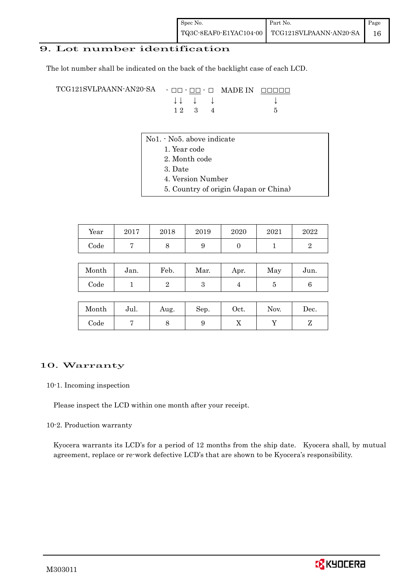# 9. Lot number identification

The lot number shall be indicated on the back of the backlight case of each LCD.

TCG121SVLPAANN-AN20-SA - □□ - □□ - □ MADE IN □□□□□ ↓ ↓ ↓ ↓ ↓  $12 \quad 3 \quad 4$  5

- No1. No5. above indicate
	- 1. Year code
		- 2. Month code
		- 3. Date
		- 4. Version Number
		- 5. Country of origin (Japan or China)

| Year | 2017 | 2018 | 2019 | 2020 | 2021 | 2022 |
|------|------|------|------|------|------|------|
| Code |      |      |      |      |      |      |

| Month | Jan. | Feb. | Mar. | Apr. | May | Jun. |
|-------|------|------|------|------|-----|------|
| Code  |      |      |      |      |     |      |

| Month      | Jul. | Aug. | Sep. | $\rm Oct.$ | Nov. | $\operatorname{Dec.}$ |
|------------|------|------|------|------------|------|-----------------------|
| $\rm Code$ |      |      |      | 77         |      |                       |

### 10. Warranty

10-1. Incoming inspection

Please inspect the LCD within one month after your receipt.

### 10-2. Production warranty

 Kyocera warrants its LCD's for a period of 12 months from the ship date. Kyocera shall, by mutual agreement, replace or re-work defective LCD's that are shown to be Kyocera's responsibility.

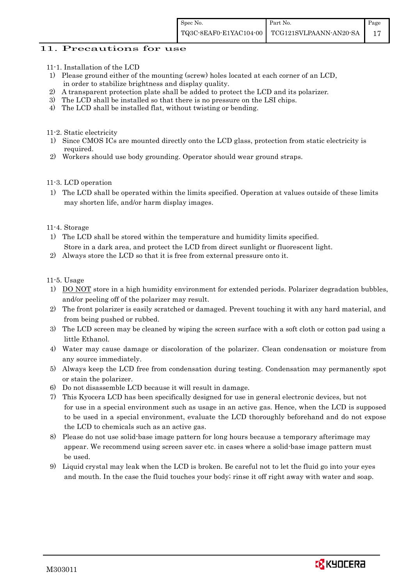### 11. Precautions for use

- 11-1. Installation of the LCD
- 1) Please ground either of the mounting (screw) holes located at each corner of an LCD, in order to stabilize brightness and display quality.
- 2) A transparent protection plate shall be added to protect the LCD and its polarizer.
- 3) The LCD shall be installed so that there is no pressure on the LSI chips.
- 4) The LCD shall be installed flat, without twisting or bending.

11-2. Static electricity

- 1) Since CMOS ICs are mounted directly onto the LCD glass, protection from static electricity is required.
- 2) Workers should use body grounding. Operator should wear ground straps.

### 11-3. LCD operation

1) The LCD shall be operated within the limits specified. Operation at values outside of these limits may shorten life, and/or harm display images.

### 11-4. Storage

- 1) The LCD shall be stored within the temperature and humidity limits specified. Store in a dark area, and protect the LCD from direct sunlight or fluorescent light.
- 2) Always store the LCD so that it is free from external pressure onto it.

### 11-5. Usage

- 1) DO NOT store in a high humidity environment for extended periods. Polarizer degradation bubbles, and/or peeling off of the polarizer may result.
- 2) The front polarizer is easily scratched or damaged. Prevent touching it with any hard material, and from being pushed or rubbed.
- 3) The LCD screen may be cleaned by wiping the screen surface with a soft cloth or cotton pad using a little Ethanol.
- 4) Water may cause damage or discoloration of the polarizer. Clean condensation or moisture from any source immediately.
- 5) Always keep the LCD free from condensation during testing. Condensation may permanently spot or stain the polarizer.
- 6) Do not disassemble LCD because it will result in damage.
- 7) This Kyocera LCD has been specifically designed for use in general electronic devices, but not for use in a special environment such as usage in an active gas. Hence, when the LCD is supposed to be used in a special environment, evaluate the LCD thoroughly beforehand and do not expose the LCD to chemicals such as an active gas.
- 8) Please do not use solid-base image pattern for long hours because a temporary afterimage may appear. We recommend using screen saver etc. in cases where a solid-base image pattern must be used.
- 9) Liquid crystal may leak when the LCD is broken. Be careful not to let the fluid go into your eyes and mouth. In the case the fluid touches your body; rinse it off right away with water and soap.

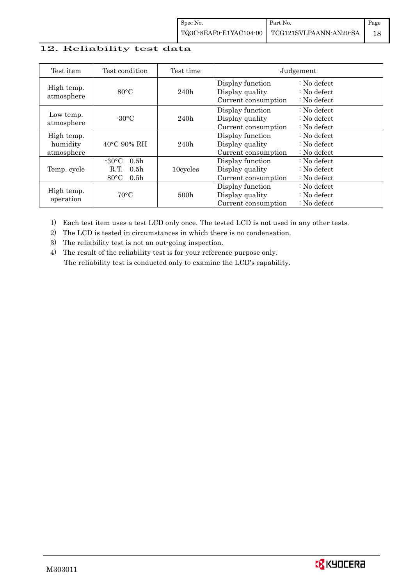# 12. Reliability test data

| Test item                            | Test condition                                                                                       | Test time        |                                                            | Judgement                                                                  |
|--------------------------------------|------------------------------------------------------------------------------------------------------|------------------|------------------------------------------------------------|----------------------------------------------------------------------------|
| High temp.<br>atmosphere             | $80^{\circ}$ C                                                                                       | 240h             | Display function<br>Display quality<br>Current consumption | $\therefore$ No defect<br>$\therefore$ No defect<br>$\therefore$ No defect |
| Low temp.<br>atmosphere              | $-30\degree C$                                                                                       | 240h             | Display function<br>Display quality<br>Current consumption | $: No$ defect<br>$\therefore$ No defect<br>$\therefore$ No defect          |
| High temp.<br>humidity<br>atmosphere | $40^{\circ}$ C 90% RH                                                                                | 240h             | Display function<br>Display quality<br>Current consumption | : No defect<br>$\therefore$ No defect<br>$: No$ defect                     |
| Temp. cycle                          | $-30\degree C$<br>0.5 <sub>h</sub><br>R.T.<br>0.5 <sub>h</sub><br>$80^{\circ}$ C<br>0.5 <sub>h</sub> | 10cycles         | Display function<br>Display quality<br>Current consumption | $: No$ defect<br>$\therefore$ No defect<br>$\therefore$ No defect          |
| High temp.<br>operation              | $70^{\circ}$ C                                                                                       | 500 <sub>h</sub> | Display function<br>Display quality<br>Current consumption | $: No$ defect<br>$\therefore$ No defect<br>$: No$ defect                   |

1) Each test item uses a test LCD only once. The tested LCD is not used in any other tests.

2) The LCD is tested in circumstances in which there is no condensation.

3) The reliability test is not an out-going inspection.

4) The result of the reliability test is for your reference purpose only. The reliability test is conducted only to examine the LCD's capability.

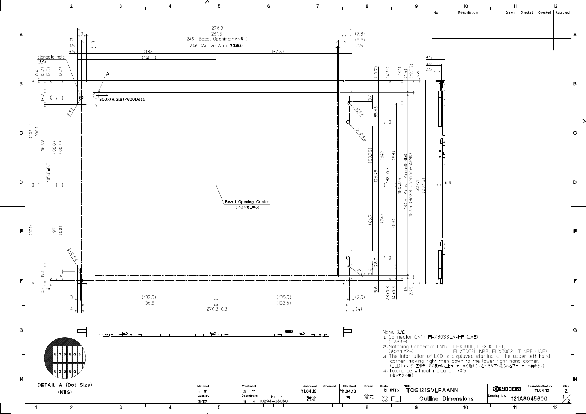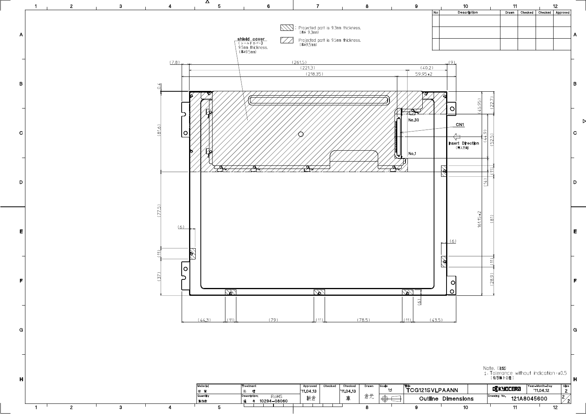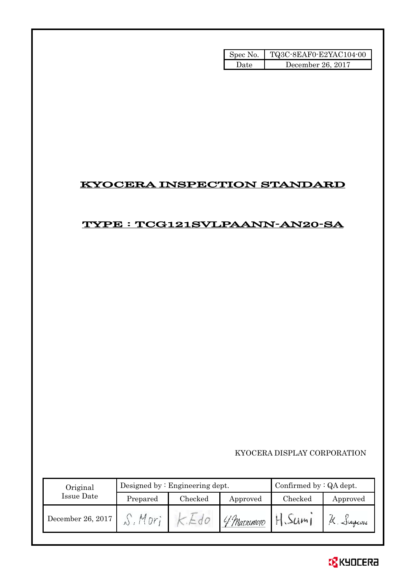| Spec No. | TQ3C-8EAF0-E2YAC104-00 |
|----------|------------------------|
| l late   | December 26, 2017      |

# KYOCERA INSPECTION STANDARD

# TYPE : TCG121SVLPAANN-AN20-SA

KYOCERA DISPLAY CORPORATION

| Original          |          | Designed by $:$ Engineering dept. | Confirmed by $:QA$ dept. |         |                   |
|-------------------|----------|-----------------------------------|--------------------------|---------|-------------------|
| Issue Date        | Prepared | Checked                           | Approved                 | Checked | Approved          |
| December 26, 2017 | Mor      |                                   | 4 Marsumoto              | 3Um     | $\alpha$ . Jugeme |

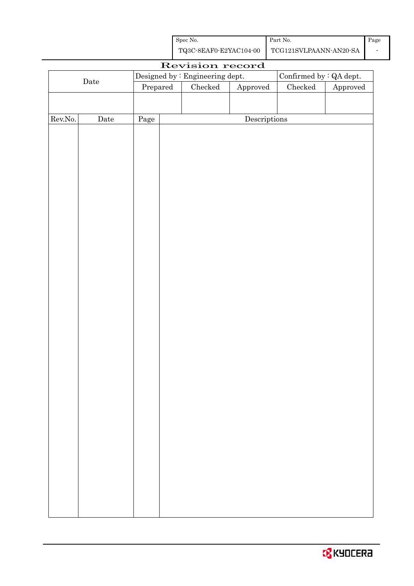| Spec No.               | Part No.               | Page |
|------------------------|------------------------|------|
| TQ3C-8EAF0-E2YAC104-00 | TCG121SVLPAANN-AN20-SA |      |

| Revision record |             |      |                                  |                                 |                                      |                                |          |
|-----------------|-------------|------|----------------------------------|---------------------------------|--------------------------------------|--------------------------------|----------|
|                 |             |      |                                  | Designed by : Engineering dept. |                                      | Confirmed by $\colon$ QA dept. |          |
|                 | $\rm{Date}$ |      | $\ensuremath{\mathrm{Prepared}}$ | $\rm Checked$                   | Approved                             | $\rm Checked$                  | Approved |
|                 |             |      |                                  |                                 |                                      |                                |          |
|                 |             |      |                                  |                                 |                                      |                                |          |
| Rev.No.         | Date        | Page |                                  |                                 | $\label{eq:2} \textbf{Descriptions}$ |                                |          |
|                 |             |      |                                  |                                 |                                      |                                |          |
|                 |             |      |                                  |                                 |                                      |                                |          |
|                 |             |      |                                  |                                 |                                      |                                |          |
|                 |             |      |                                  |                                 |                                      |                                |          |
|                 |             |      |                                  |                                 |                                      |                                |          |
|                 |             |      |                                  |                                 |                                      |                                |          |
|                 |             |      |                                  |                                 |                                      |                                |          |
|                 |             |      |                                  |                                 |                                      |                                |          |
|                 |             |      |                                  |                                 |                                      |                                |          |
|                 |             |      |                                  |                                 |                                      |                                |          |
|                 |             |      |                                  |                                 |                                      |                                |          |
|                 |             |      |                                  |                                 |                                      |                                |          |
|                 |             |      |                                  |                                 |                                      |                                |          |
|                 |             |      |                                  |                                 |                                      |                                |          |
|                 |             |      |                                  |                                 |                                      |                                |          |
|                 |             |      |                                  |                                 |                                      |                                |          |
|                 |             |      |                                  |                                 |                                      |                                |          |
|                 |             |      |                                  |                                 |                                      |                                |          |
|                 |             |      |                                  |                                 |                                      |                                |          |
|                 |             |      |                                  |                                 |                                      |                                |          |
|                 |             |      |                                  |                                 |                                      |                                |          |
|                 |             |      |                                  |                                 |                                      |                                |          |
|                 |             |      |                                  |                                 |                                      |                                |          |
|                 |             |      |                                  |                                 |                                      |                                |          |
|                 |             |      |                                  |                                 |                                      |                                |          |
|                 |             |      |                                  |                                 |                                      |                                |          |
|                 |             |      |                                  |                                 |                                      |                                |          |
|                 |             |      |                                  |                                 |                                      |                                |          |
|                 |             |      |                                  |                                 |                                      |                                |          |
|                 |             |      |                                  |                                 |                                      |                                |          |
|                 |             |      |                                  |                                 |                                      |                                |          |
|                 |             |      |                                  |                                 |                                      |                                |          |
|                 |             |      |                                  |                                 |                                      |                                |          |
|                 |             |      |                                  |                                 |                                      |                                |          |
|                 |             |      |                                  |                                 |                                      |                                |          |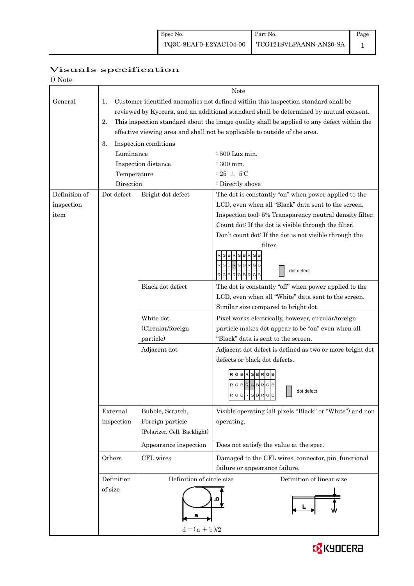# Page

# Visuals specification

| ι۱. |  |
|-----|--|
|     |  |

|               |                                              | <b>Note</b>                                                                            |                                                                                            |  |  |  |
|---------------|----------------------------------------------|----------------------------------------------------------------------------------------|--------------------------------------------------------------------------------------------|--|--|--|
| General       | 1.                                           | Customer identified anomalies not defined within this inspection standard shall be     |                                                                                            |  |  |  |
|               |                                              | reviewed by Kyocera, and an additional standard shall be determined by mutual consent. |                                                                                            |  |  |  |
|               | 2.                                           |                                                                                        | This inspection standard about the image quality shall be applied to any defect within the |  |  |  |
|               |                                              |                                                                                        | effective viewing area and shall not be applicable to outside of the area.                 |  |  |  |
|               | 3.                                           | Inspection conditions                                                                  |                                                                                            |  |  |  |
|               | Luminance                                    | $\div 500$ Lux min.                                                                    |                                                                                            |  |  |  |
|               |                                              | Inspection distance                                                                    | $:300$ mm.                                                                                 |  |  |  |
|               | Temperature                                  |                                                                                        | : 25 $\pm$ 5°C                                                                             |  |  |  |
|               | Direction                                    |                                                                                        | : Directly above                                                                           |  |  |  |
| Definition of | Dot defect                                   | Bright dot defect                                                                      | The dot is constantly "on" when power applied to the                                       |  |  |  |
| inspection    |                                              |                                                                                        | LCD, even when all "Black" data sent to the screen.                                        |  |  |  |
| item          |                                              |                                                                                        | Inspection tool: 5% Transparency neutral density filter.                                   |  |  |  |
|               |                                              |                                                                                        | Count dot: If the dot is visible through the filter.                                       |  |  |  |
|               |                                              |                                                                                        | Don't count dot: If the dot is not visible through the                                     |  |  |  |
|               |                                              |                                                                                        | filter.                                                                                    |  |  |  |
|               |                                              |                                                                                        | <b>GIBIR</b><br>GIB                                                                        |  |  |  |
|               |                                              |                                                                                        | $R$ G $B$ R $G$ B $R$<br>G<br>dot defect                                                   |  |  |  |
|               |                                              |                                                                                        | RGBR<br>G                                                                                  |  |  |  |
|               |                                              | Black dot defect                                                                       | The dot is constantly "off" when power applied to the                                      |  |  |  |
|               |                                              |                                                                                        | LCD, even when all "White" data sent to the screen.                                        |  |  |  |
|               |                                              |                                                                                        | Similar size compared to bright dot.                                                       |  |  |  |
|               |                                              | White dot                                                                              | Pixel works electrically, however, circular/foreign                                        |  |  |  |
|               |                                              | (Circular/foreign                                                                      | particle makes dot appear to be "on" even when all                                         |  |  |  |
|               |                                              | particle)                                                                              | "Black" data is sent to the screen.                                                        |  |  |  |
|               |                                              | Adjacent dot                                                                           | Adjacent dot defect is defined as two or more bright dot                                   |  |  |  |
|               |                                              |                                                                                        | defects or black dot defects.                                                              |  |  |  |
|               |                                              |                                                                                        | G B R G B R                                                                                |  |  |  |
|               |                                              |                                                                                        | RGBRGBRG                                                                                   |  |  |  |
|               |                                              |                                                                                        | dot defect<br>RGBRGBRGB                                                                    |  |  |  |
|               | External                                     | Bubble, Scratch,                                                                       | Visible operating (all pixels "Black" or "White") and non                                  |  |  |  |
|               | Foreign particle<br>inspection               |                                                                                        | operating.                                                                                 |  |  |  |
|               |                                              | (Polarizer, Cell, Backlight)                                                           |                                                                                            |  |  |  |
|               | Appearance inspection<br>CFL wires<br>Others |                                                                                        | Does not satisfy the value at the spec.                                                    |  |  |  |
|               |                                              |                                                                                        | Damaged to the CFL wires, connector, pin, functional                                       |  |  |  |
|               |                                              |                                                                                        | failure or appearance failure.                                                             |  |  |  |
|               | Definition                                   | Definition of linear size<br>Definition of circle size                                 |                                                                                            |  |  |  |
|               | of size                                      |                                                                                        |                                                                                            |  |  |  |
|               |                                              |                                                                                        |                                                                                            |  |  |  |
|               | $d = (a + b)/2$                              |                                                                                        |                                                                                            |  |  |  |